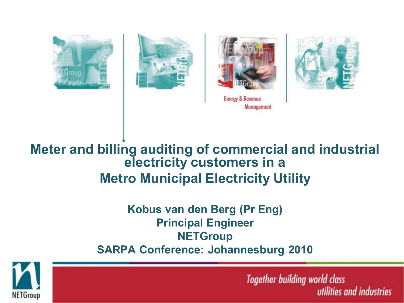







#### **Meter and billing auditing of commercial and industrial electricity customers in a Metro Municipal Electricity Utility**

**Kobus van den Berg (Pr Eng) Principal Engineer NETGroup SARPA Conference: Johannesburg 2010**

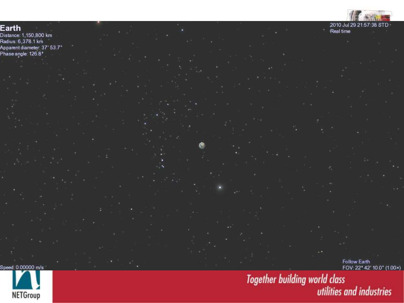**Earth** 

Distance: 1,150,800 km Radius: 6,378.1 km .<br>Apparent diameter: 37' 53.7"<br>Phase angle: 126.8°

> Follow Earth FOV: 22° 42' 10.0" (1.00×)

2010 Jul 29 21:57:38 STD

Real time

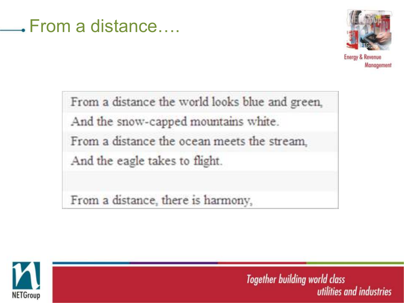#### From a distance….



From a distance the world looks blue and green, And the snow-capped mountains white. From a distance the ocean meets the stream. And the eagle takes to flight.

From a distance, there is harmony,

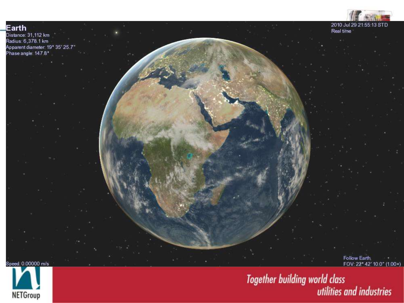**Earth** 

Distance: 31,112 km Radius: 6,378.1 km Apparent diameter: 19° 35' 25.7" Phase angle: 147.8°

Speed: 0.00000 m/s



Together building world class<br>utilities and industries

Follow Earth

FOV: 22° 42' 10.0" (1.00×)

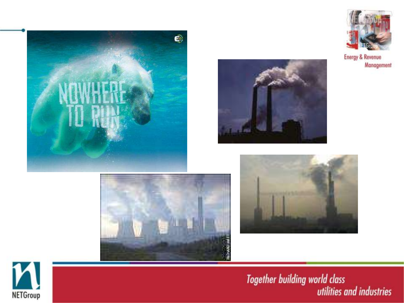





**Energy & Revenue** Management





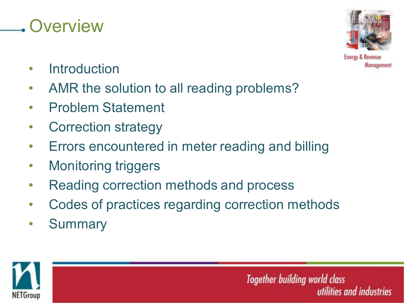#### Overview



- Introduction
- AMR the solution to all reading problems?
- Problem Statement
- Correction strategy
- Errors encountered in meter reading and billing
- Monitoring triggers
- Reading correction methods and process
- Codes of practices regarding correction methods
- Summary

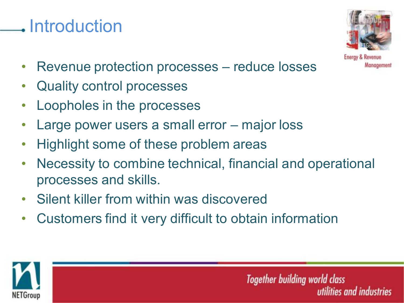#### . Introduction



- Revenue protection processes reduce losses
- Quality control processes
- Loopholes in the processes
- Large power users a small error major loss
- Highlight some of these problem areas
- Necessity to combine technical, financial and operational processes and skills.
- Silent killer from within was discovered
- Customers find it very difficult to obtain information

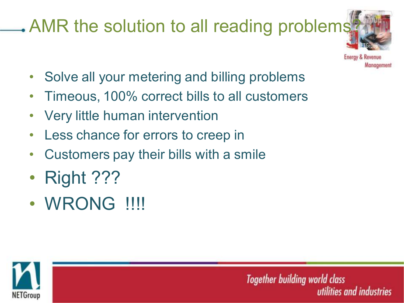## . AMR the solution to all reading problems



**Energy & Revenue** Management

- Solve all your metering and billing problems
- Timeous, 100% correct bills to all customers
- Very little human intervention
- Less chance for errors to creep in
- Customers pay their bills with a smile
- Right ???
- WRONG !!!!

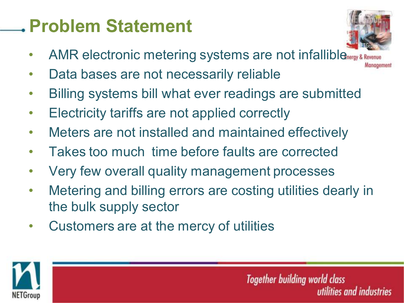### **Problem Statement**



- AMR electronic metering systems are not infallible nergy & Revenue Managemen
- Data bases are not necessarily reliable
- Billing systems bill what ever readings are submitted
- Electricity tariffs are not applied correctly
- Meters are not installed and maintained effectively
- Takes too much time before faults are corrected
- Very few overall quality management processes
- Metering and billing errors are costing utilities dearly in the bulk supply sector
- Customers are at the mercy of utilities

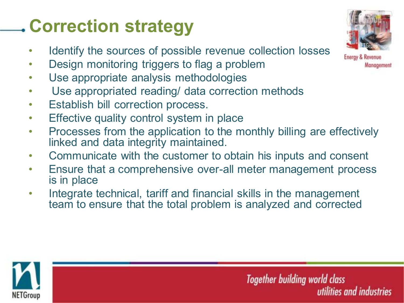## **Correction strategy**

- Identify the sources of possible revenue collection losses
- Design monitoring triggers to flag a problem
- Use appropriate analysis methodologies
- Use appropriated reading/ data correction methods
- Establish bill correction process.
- Effective quality control system in place
- Processes from the application to the monthly billing are effectively linked and data integrity maintained.
- Communicate with the customer to obtain his inputs and consent
- Ensure that a comprehensive over-all meter management process is in place
- Integrate technical, tariff and financial skills in the management team to ensure that the total problem is analyzed and corrected



**Together building world class** utilities and industries



Management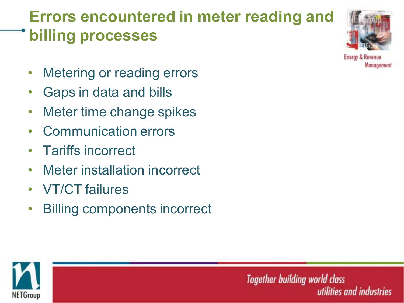#### **Errors encountered in meter reading and billing processes**



Energy & Revenue Management

- Metering or reading errors
- Gaps in data and bills
- Meter time change spikes
- Communication errors
- Tariffs incorrect
- Meter installation incorrect
- VT/CT failures
- Billing components incorrect

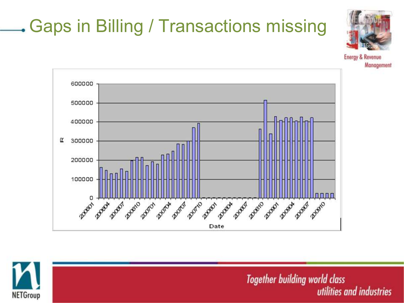# Gaps in Billing / Transactions missing



**Energy & Revenue** Management



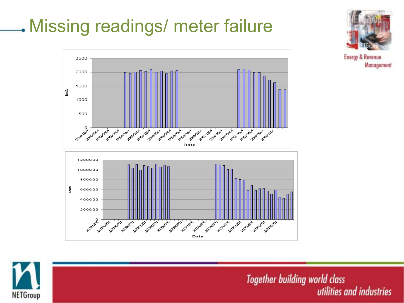## Missing readings/ meter failure







**Together building world class** utilities and industries



**Energy & Revenue** Management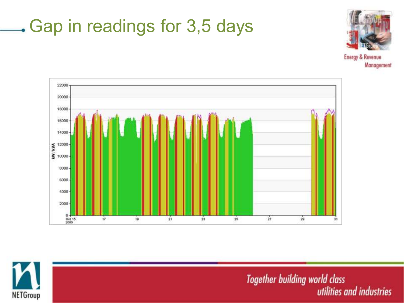### Gap in readings for 3,5 days



**Energy & Revenue** Management



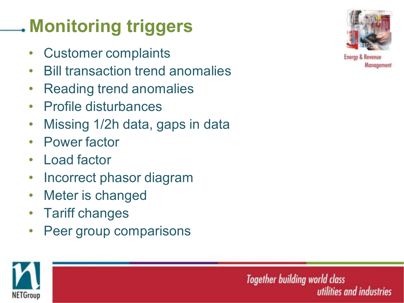## **Monitoring triggers**

- Customer complaints
- Bill transaction trend anomalies
- Reading trend anomalies
- Profile disturbances
- Missing 1/2h data, gaps in data
- Power factor
- Load factor
- Incorrect phasor diagram
- Meter is changed
- Tariff changes
- Peer group comparisons



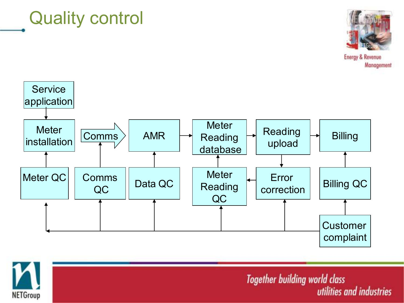### Quality control





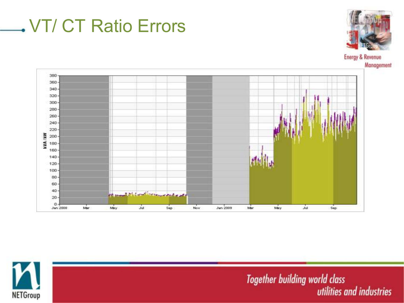#### VT/ CT Ratio Errors



**Energy & Revenue** 



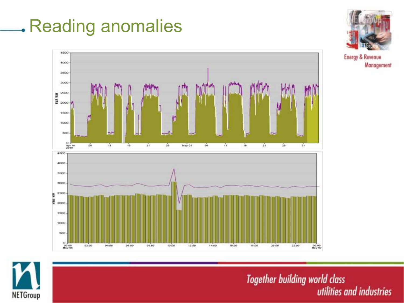### Reading anomalies





**Together building world class** utilities and industries



**Energy & Revenue** Management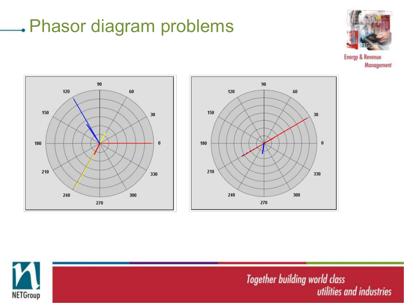#### Phasor diagram problems



 $\pmb{0}$ 



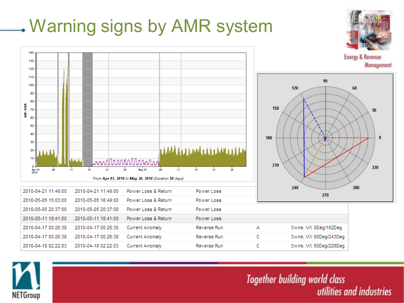### Warning signs by AMR system





**Energy & Revenue** Management



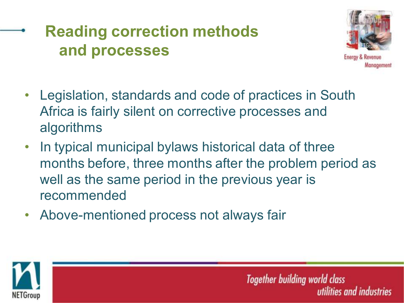#### **Reading correction methods and processes**



- Legislation, standards and code of practices in South Africa is fairly silent on corrective processes and algorithms
- In typical municipal bylaws historical data of three months before, three months after the problem period as well as the same period in the previous year is recommended
- Above-mentioned process not always fair

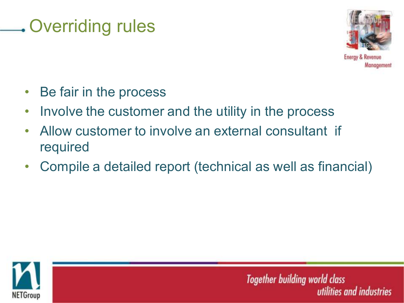### Overriding rules



- Be fair in the process
- Involve the customer and the utility in the process
- Allow customer to involve an external consultant if required
- Compile a detailed report (technical as well as financial)

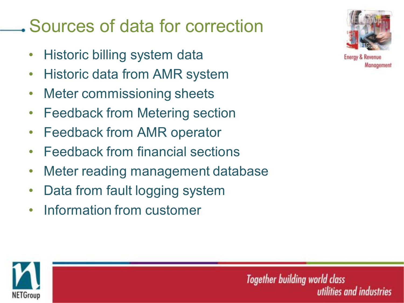#### Sources of data for correction

- Historic billing system data
- Historic data from AMR system
- Meter commissioning sheets
- Feedback from Metering section
- Feedback from AMR operator
- Feedback from financial sections
- Meter reading management database
- Data from fault logging system
- Information from customer



**Energy & Revenue** Management

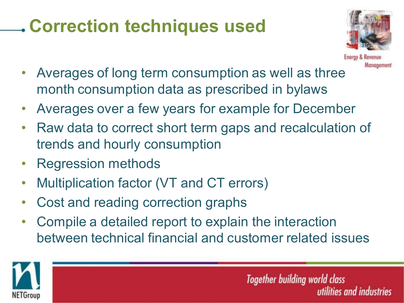## **Correction techniques used**



- **Energy & Revenue** Management
- Averages of long term consumption as well as three month consumption data as prescribed in bylaws
- Averages over a few years for example for December
- Raw data to correct short term gaps and recalculation of trends and hourly consumption
- Regression methods
- Multiplication factor (VT and CT errors)
- Cost and reading correction graphs
- Compile a detailed report to explain the interaction between technical financial and customer related issues

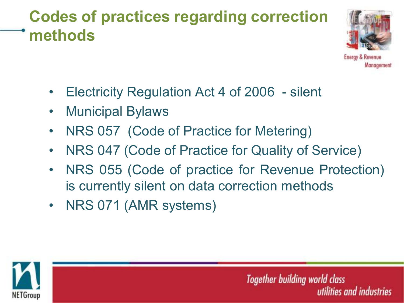#### **Codes of practices regarding correction methods**



- Electricity Regulation Act 4 of 2006 silent
- Municipal Bylaws
- NRS 057 (Code of Practice for Metering)
- NRS 047 (Code of Practice for Quality of Service)
- NRS 055 (Code of practice for Revenue Protection) is currently silent on data correction methods
- NRS 071 (AMR systems)

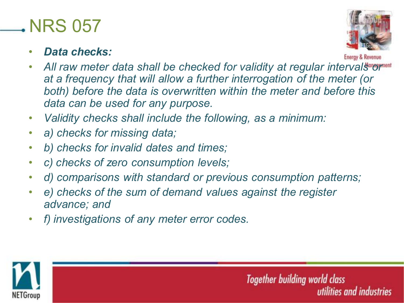#### NRS 057

• *Data checks:*



**Energy & Revenue** 

- All raw meter data shall be checked for validity at regular intervals or *neat at a frequency that will allow a further interrogation of the meter (or both) before the data is overwritten within the meter and before this data can be used for any purpose.*
- *Validity checks shall include the following, as a minimum:*
- *a) checks for missing data;*
- *b) checks for invalid dates and times;*
- *c) checks of zero consumption levels;*
- *d) comparisons with standard or previous consumption patterns;*
- *e) checks of the sum of demand values against the register advance; and*
- *f) investigations of any meter error codes.*

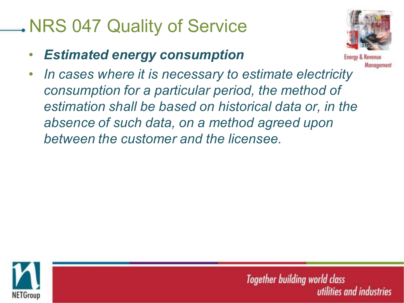### NRS 047 Quality of Service

• *Estimated energy consumption*



**Energy & Revenue** Management

• *In cases where it is necessary to estimate electricity consumption for a particular period, the method of estimation shall be based on historical data or, in the absence of such data, on a method agreed upon between the customer and the licensee.*

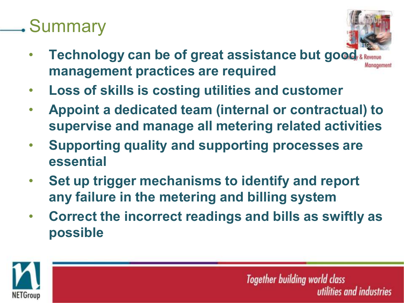### Summary



- **Technology can be of great assistance but good** Management **management practices are required**
- **Loss of skills is costing utilities and customer**
- **Appoint a dedicated team (internal or contractual) to supervise and manage all metering related activities**
- **Supporting quality and supporting processes are essential**
- **Set up trigger mechanisms to identify and report any failure in the metering and billing system**
- **Correct the incorrect readings and bills as swiftly as possible**

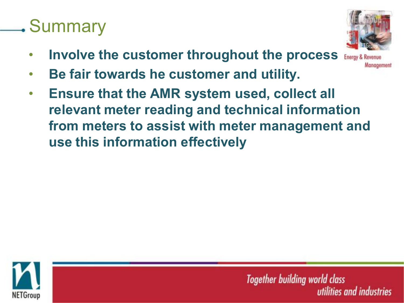#### Summary



- **Involve the customer throughout the process**
- Management
- **Be fair towards he customer and utility.**
- **Ensure that the AMR system used, collect all relevant meter reading and technical information from meters to assist with meter management and use this information effectively**

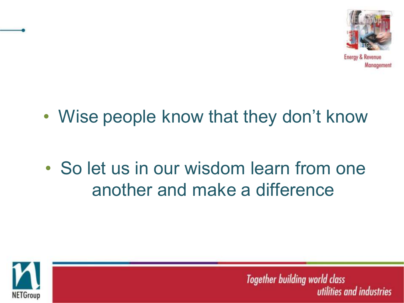

- Wise people know that they don't know
- So let us in our wisdom learn from one another and make a difference